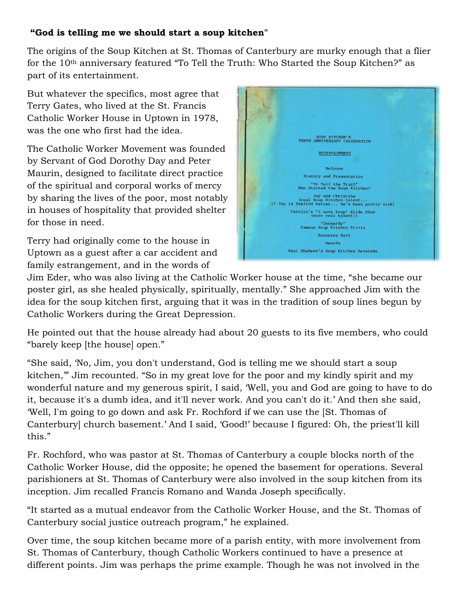## **"God is telling me we should start a soup kitchen"**

The origins of the Soup Kitchen at St. Thomas of Canterbury are murky enough that a flier for the 10<sup>th</sup> anniversary featured "To Tell the Truth: Who Started the Soup Kitchen?" as part of its entertainment.

But whatever the specifics, most agree that Terry Gates, who lived at the St. Francis Catholic Worker House in Uptown in 1978, was the one who first had the idea.

The Catholic Worker Movement was founded by Servant of God Dorothy Day and Peter Maurin, designed to facilitate direct practice of the spiritual and corporal works of mercy by sharing the lives of the poor, most notably in houses of hospitality that provided shelter for those in need.

Terry had originally come to the house in Uptown as a guest after a car accident and family estrangement, and in the words of



Jim Eder, who was also living at the Catholic Worker house at the time, "she became our poster girl, as she healed physically, spiritually, mentally." She approached Jim with the idea for the soup kitchen first, arguing that it was in the tradition of soup lines begun by Catholic Workers during the Great Depression.

He pointed out that the house already had about 20 guests to its five members, who could "barely keep [the house] open."

"She said, 'No, Jim, you don't understand, God is telling me we should start a soup kitchen,'" Jim recounted. "So in my great love for the poor and my kindly spirit and my wonderful nature and my generous spirit, I said, 'Well, you and God are going to have to do it, because it's a dumb idea, and it'll never work. And you can't do it.' And then she said, 'Well, I'm going to go down and ask Fr. Rochford if we can use the [St. Thomas of Canterbury] church basement.' And I said, 'Good!' because I figured: Oh, the priest'll kill this."

Fr. Rochford, who was pastor at St. Thomas of Canterbury a couple blocks north of the Catholic Worker House, did the opposite; he opened the basement for operations. Several parishioners at St. Thomas of Canterbury were also involved in the soup kitchen from its inception. Jim recalled Francis Romano and Wanda Joseph specifically.

"It started as a mutual endeavor from the Catholic Worker House, and the St. Thomas of Canterbury social justice outreach program," he explained.

Over time, the soup kitchen became more of a parish entity, with more involvement from St. Thomas of Canterbury, though Catholic Workers continued to have a presence at different points. Jim was perhaps the prime example. Though he was not involved in the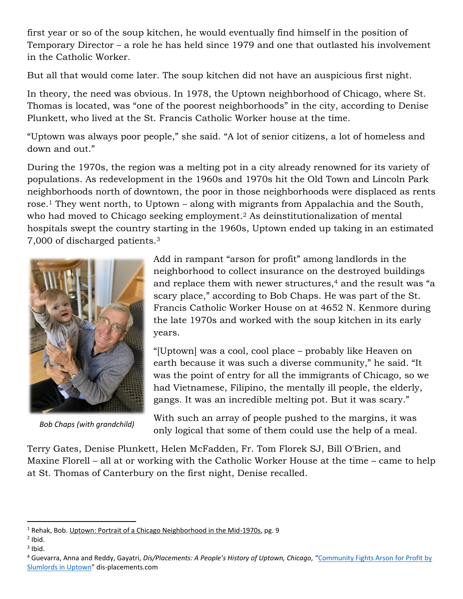first year or so of the soup kitchen, he would eventually find himself in the position of Temporary Director – a role he has held since 1979 and one that outlasted his involvement in the Catholic Worker.

But all that would come later. The soup kitchen did not have an auspicious first night.

In theory, the need was obvious. In 1978, the Uptown neighborhood of Chicago, where St. Thomas is located, was "one of the poorest neighborhoods" in the city, according to Denise Plunkett, who lived at the St. Francis Catholic Worker house at the time.

"Uptown was always poor people," she said. "A lot of senior citizens, a lot of homeless and down and out."

During the 1970s, the region was a melting pot in a city already renowned for its variety of populations. As redevelopment in the 1960s and 1970s hit the Old Town and Lincoln Park neighborhoods north of downtown, the poor in those neighborhoods were displaced as rents rose.<sup>1</sup> They went north, to Uptown – along with migrants from Appalachia and the South, who had moved to Chicago seeking employment. <sup>2</sup> As deinstitutionalization of mental hospitals swept the country starting in the 1960s, Uptown ended up taking in an estimated 7,000 of discharged patients. 3



*Bob Chaps (with grandchild)*

Add in rampant "arson for profit" among landlords in the neighborhood to collect insurance on the destroyed buildings and replace them with newer structures, <sup>4</sup> and the result was "a scary place," according to Bob Chaps. He was part of the St. Francis Catholic Worker House on at 4652 N. Kenmore during the late 1970s and worked with the soup kitchen in its early years.

"[Uptown] was a cool, cool place – probably like Heaven on earth because it was such a diverse community," he said. "It was the point of entry for all the immigrants of Chicago, so we had Vietnamese, Filipino, the mentally ill people, the elderly, gangs. It was an incredible melting pot. But it was scary."

With such an array of people pushed to the margins, it was only logical that some of them could use the help of a meal.

Terry Gates, Denise Plunkett, Helen McFadden, Fr. Tom Florek SJ, Bill O'Brien, and Maxine Florell – all at or working with the Catholic Worker House at the time – came to help at St. Thomas of Canterbury on the first night, Denise recalled.

l

 $1$  Rehak, Bob. Uptown: Portrait of a Chicago Neighborhood in the Mid-1970s, pg. 9

 $<sup>2</sup>$  Ibid.</sup>

 $3$  Ibid.

<sup>4</sup> Guevarra, Anna and Reddy, Gayatri, *Dis/Placements: A People's History of Uptown, Chicago,* "[Community Fights Arson for Profit by](https://www.tiki-toki.com/timeline/entry/1568102/Uptown-Timeline#vars!panel=15094731!)  [Slumlords in Uptown](https://www.tiki-toki.com/timeline/entry/1568102/Uptown-Timeline#vars!panel=15094731!)" dis-placements.com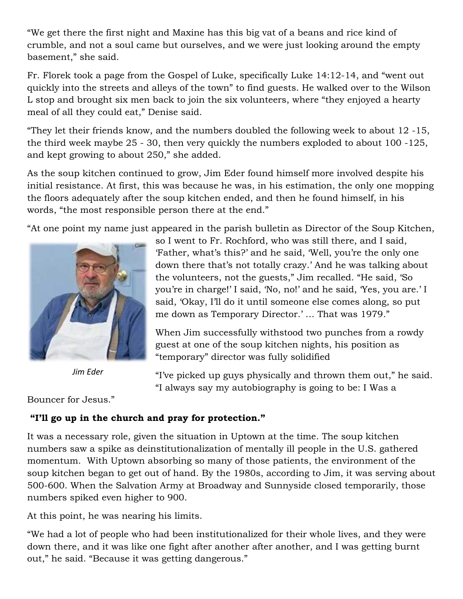"We get there the first night and Maxine has this big vat of a beans and rice kind of crumble, and not a soul came but ourselves, and we were just looking around the empty basement," she said.

Fr. Florek took a page from the Gospel of Luke, specifically Luke 14:12-14, and "went out quickly into the streets and alleys of the town" to find guests. He walked over to the Wilson L stop and brought six men back to join the six volunteers, where "they enjoyed a hearty meal of all they could eat," Denise said.

"They let their friends know, and the numbers doubled the following week to about 12 -15, the third week maybe 25 - 30, then very quickly the numbers exploded to about 100 -125, and kept growing to about 250," she added.

As the soup kitchen continued to grow, Jim Eder found himself more involved despite his initial resistance. At first, this was because he was, in his estimation, the only one mopping the floors adequately after the soup kitchen ended, and then he found himself, in his words, "the most responsible person there at the end."

"At one point my name just appeared in the parish bulletin as Director of the Soup Kitchen,



*Jim Eder*

Bouncer for Jesus."

## **"I'll go up in the church and pray for protection."**

It was a necessary role, given the situation in Uptown at the time. The soup kitchen numbers saw a spike as deinstitutionalization of mentally ill people in the U.S. gathered momentum. With Uptown absorbing so many of those patients, the environment of the soup kitchen began to get out of hand. By the 1980s, according to Jim, it was serving about 500-600. When the Salvation Army at Broadway and Sunnyside closed temporarily, those numbers spiked even higher to 900.

At this point, he was nearing his limits.

"We had a lot of people who had been institutionalized for their whole lives, and they were down there, and it was like one fight after another after another, and I was getting burnt out," he said. "Because it was getting dangerous."

so I went to Fr. Rochford, who was still there, and I said, 'Father, what's this?' and he said, 'Well, you're the only one down there that's not totally crazy.' And he was talking about the volunteers, not the guests," Jim recalled. "He said, 'So you're in charge!' I said, 'No, no!' and he said, 'Yes, you are.' I said, 'Okay, I'll do it until someone else comes along, so put me down as Temporary Director.' … That was 1979."

When Jim successfully withstood two punches from a rowdy guest at one of the soup kitchen nights, his position as "temporary" director was fully solidified

"I've picked up guys physically and thrown them out," he said. "I always say my autobiography is going to be: I Was a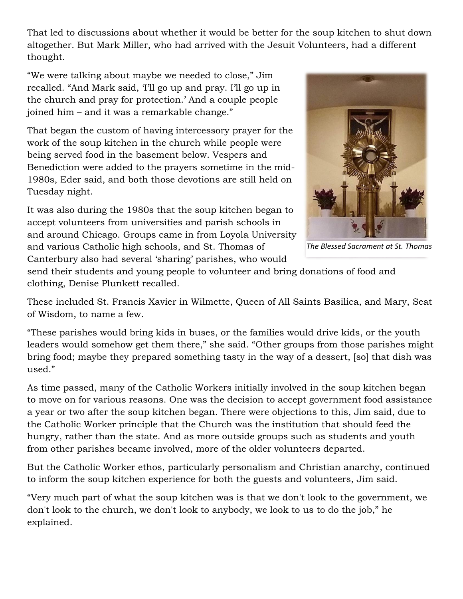That led to discussions about whether it would be better for the soup kitchen to shut down altogether. But Mark Miller, who had arrived with the Jesuit Volunteers, had a different thought.

"We were talking about maybe we needed to close," Jim recalled. "And Mark said, 'I'll go up and pray. I'll go up in the church and pray for protection.' And a couple people joined him – and it was a remarkable change."

That began the custom of having intercessory prayer for the work of the soup kitchen in the church while people were being served food in the basement below. Vespers and Benediction were added to the prayers sometime in the mid-1980s, Eder said, and both those devotions are still held on Tuesday night.

It was also during the 1980s that the soup kitchen began to accept volunteers from universities and parish schools in and around Chicago. Groups came in from Loyola University and various Catholic high schools, and St. Thomas of Canterbury also had several 'sharing' parishes, who would



*The Blessed Sacrament at St. Thomas*

send their students and young people to volunteer and bring donations of food and clothing, Denise Plunkett recalled.

These included St. Francis Xavier in Wilmette, Queen of All Saints Basilica, and Mary, Seat of Wisdom, to name a few.

"These parishes would bring kids in buses, or the families would drive kids, or the youth leaders would somehow get them there," she said. "Other groups from those parishes might bring food; maybe they prepared something tasty in the way of a dessert, [so] that dish was used."

As time passed, many of the Catholic Workers initially involved in the soup kitchen began to move on for various reasons. One was the decision to accept government food assistance a year or two after the soup kitchen began. There were objections to this, Jim said, due to the Catholic Worker principle that the Church was the institution that should feed the hungry, rather than the state. And as more outside groups such as students and youth from other parishes became involved, more of the older volunteers departed.

But the Catholic Worker ethos, particularly personalism and Christian anarchy, continued to inform the soup kitchen experience for both the guests and volunteers, Jim said.

"Very much part of what the soup kitchen was is that we don't look to the government, we don't look to the church, we don't look to anybody, we look to us to do the job," he explained.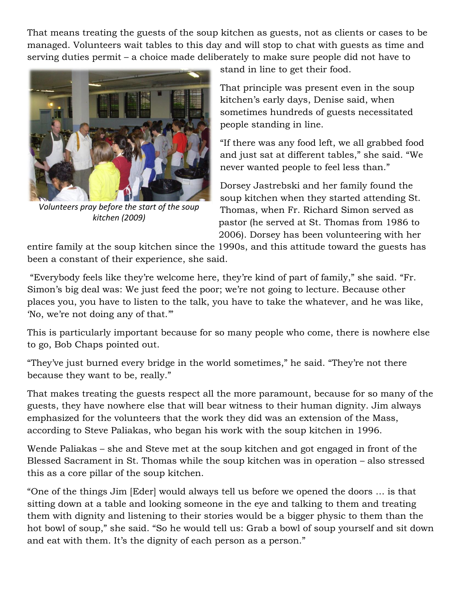That means treating the guests of the soup kitchen as guests, not as clients or cases to be managed. Volunteers wait tables to this day and will stop to chat with guests as time and serving duties permit – a choice made deliberately to make sure people did not have to



*Volunteers pray before the start of the soup kitchen (2009)*

stand in line to get their food.

That principle was present even in the soup kitchen's early days, Denise said, when sometimes hundreds of guests necessitated people standing in line.

"If there was any food left, we all grabbed food and just sat at different tables," she said. "We never wanted people to feel less than."

Dorsey Jastrebski and her family found the soup kitchen when they started attending St. Thomas, when Fr. Richard Simon served as pastor (he served at St. Thomas from 1986 to 2006). Dorsey has been volunteering with her

entire family at the soup kitchen since the 1990s, and this attitude toward the guests has been a constant of their experience, she said.

"Everybody feels like they're welcome here, they're kind of part of family," she said. "Fr. Simon's big deal was: We just feed the poor; we're not going to lecture. Because other places you, you have to listen to the talk, you have to take the whatever, and he was like, 'No, we're not doing any of that.'"

This is particularly important because for so many people who come, there is nowhere else to go, Bob Chaps pointed out.

"They've just burned every bridge in the world sometimes," he said. "They're not there because they want to be, really."

That makes treating the guests respect all the more paramount, because for so many of the guests, they have nowhere else that will bear witness to their human dignity. Jim always emphasized for the volunteers that the work they did was an extension of the Mass, according to Steve Paliakas, who began his work with the soup kitchen in 1996.

Wende Paliakas – she and Steve met at the soup kitchen and got engaged in front of the Blessed Sacrament in St. Thomas while the soup kitchen was in operation – also stressed this as a core pillar of the soup kitchen.

"One of the things Jim [Eder] would always tell us before we opened the doors … is that sitting down at a table and looking someone in the eye and talking to them and treating them with dignity and listening to their stories would be a bigger physic to them than the hot bowl of soup," she said. "So he would tell us: Grab a bowl of soup yourself and sit down and eat with them. It's the dignity of each person as a person."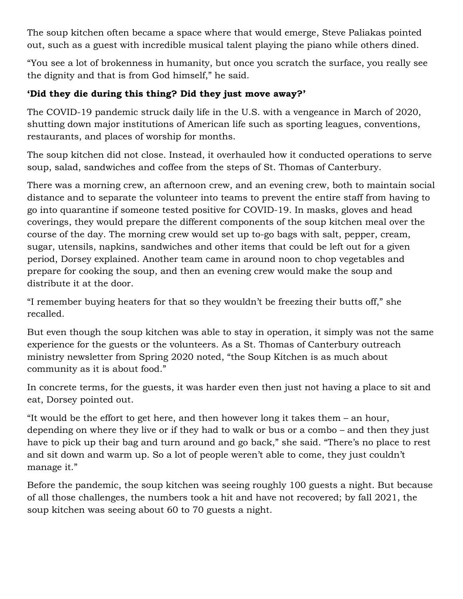The soup kitchen often became a space where that would emerge, Steve Paliakas pointed out, such as a guest with incredible musical talent playing the piano while others dined.

"You see a lot of brokenness in humanity, but once you scratch the surface, you really see the dignity and that is from God himself," he said.

## **'Did they die during this thing? Did they just move away?'**

The COVID-19 pandemic struck daily life in the U.S. with a vengeance in March of 2020, shutting down major institutions of American life such as sporting leagues, conventions, restaurants, and places of worship for months.

The soup kitchen did not close. Instead, it overhauled how it conducted operations to serve soup, salad, sandwiches and coffee from the steps of St. Thomas of Canterbury.

There was a morning crew, an afternoon crew, and an evening crew, both to maintain social distance and to separate the volunteer into teams to prevent the entire staff from having to go into quarantine if someone tested positive for COVID-19. In masks, gloves and head coverings, they would prepare the different components of the soup kitchen meal over the course of the day. The morning crew would set up to-go bags with salt, pepper, cream, sugar, utensils, napkins, sandwiches and other items that could be left out for a given period, Dorsey explained. Another team came in around noon to chop vegetables and prepare for cooking the soup, and then an evening crew would make the soup and distribute it at the door.

"I remember buying heaters for that so they wouldn't be freezing their butts off," she recalled.

But even though the soup kitchen was able to stay in operation, it simply was not the same experience for the guests or the volunteers. As a St. Thomas of Canterbury outreach ministry newsletter from Spring 2020 noted, "the Soup Kitchen is as much about community as it is about food."

In concrete terms, for the guests, it was harder even then just not having a place to sit and eat, Dorsey pointed out.

"It would be the effort to get here, and then however long it takes them – an hour, depending on where they live or if they had to walk or bus or a combo – and then they just have to pick up their bag and turn around and go back," she said. "There's no place to rest and sit down and warm up. So a lot of people weren't able to come, they just couldn't manage it."

Before the pandemic, the soup kitchen was seeing roughly 100 guests a night. But because of all those challenges, the numbers took a hit and have not recovered; by fall 2021, the soup kitchen was seeing about 60 to 70 guests a night.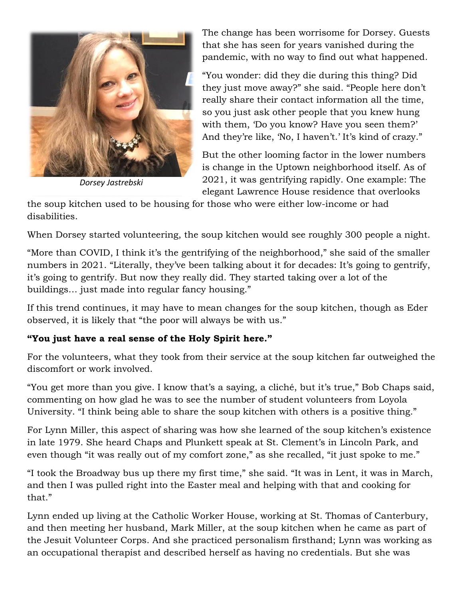

*Dorsey Jastrebski*

The change has been worrisome for Dorsey. Guests that she has seen for years vanished during the pandemic, with no way to find out what happened.

"You wonder: did they die during this thing? Did they just move away?" she said. "People here don't really share their contact information all the time, so you just ask other people that you knew hung with them, 'Do you know? Have you seen them?' And they're like, 'No, I haven't.' It's kind of crazy."

But the other looming factor in the lower numbers is change in the Uptown neighborhood itself. As of 2021, it was gentrifying rapidly. One example: The elegant Lawrence House residence that overlooks

the soup kitchen used to be housing for those who were either low-income or had disabilities.

When Dorsey started volunteering, the soup kitchen would see roughly 300 people a night.

"More than COVID, I think it's the gentrifying of the neighborhood," she said of the smaller numbers in 2021. "Literally, they've been talking about it for decades: It's going to gentrify, it's going to gentrify. But now they really did. They started taking over a lot of the buildings… just made into regular fancy housing."

If this trend continues, it may have to mean changes for the soup kitchen, though as Eder observed, it is likely that "the poor will always be with us."

## **"You just have a real sense of the Holy Spirit here."**

For the volunteers, what they took from their service at the soup kitchen far outweighed the discomfort or work involved.

"You get more than you give. I know that's a saying, a cliché, but it's true," Bob Chaps said, commenting on how glad he was to see the number of student volunteers from Loyola University. "I think being able to share the soup kitchen with others is a positive thing."

For Lynn Miller, this aspect of sharing was how she learned of the soup kitchen's existence in late 1979. She heard Chaps and Plunkett speak at St. Clement's in Lincoln Park, and even though "it was really out of my comfort zone," as she recalled, "it just spoke to me."

"I took the Broadway bus up there my first time," she said. "It was in Lent, it was in March, and then I was pulled right into the Easter meal and helping with that and cooking for that."

Lynn ended up living at the Catholic Worker House, working at St. Thomas of Canterbury, and then meeting her husband, Mark Miller, at the soup kitchen when he came as part of the Jesuit Volunteer Corps. And she practiced personalism firsthand; Lynn was working as an occupational therapist and described herself as having no credentials. But she was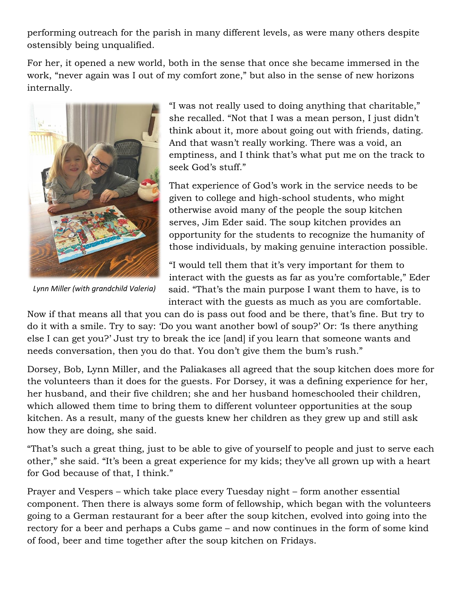performing outreach for the parish in many different levels, as were many others despite ostensibly being unqualified.

For her, it opened a new world, both in the sense that once she became immersed in the work, "never again was I out of my comfort zone," but also in the sense of new horizons internally.



*Lynn Miller (with grandchild Valeria)*

"I was not really used to doing anything that charitable," she recalled. "Not that I was a mean person, I just didn't think about it, more about going out with friends, dating. And that wasn't really working. There was a void, an emptiness, and I think that's what put me on the track to seek God's stuff."

That experience of God's work in the service needs to be given to college and high-school students, who might otherwise avoid many of the people the soup kitchen serves, Jim Eder said. The soup kitchen provides an opportunity for the students to recognize the humanity of those individuals, by making genuine interaction possible.

"I would tell them that it's very important for them to interact with the guests as far as you're comfortable," Eder said. "That's the main purpose I want them to have, is to interact with the guests as much as you are comfortable.

Now if that means all that you can do is pass out food and be there, that's fine. But try to do it with a smile. Try to say: 'Do you want another bowl of soup?' Or: 'Is there anything else I can get you?' Just try to break the ice [and] if you learn that someone wants and needs conversation, then you do that. You don't give them the bum's rush."

Dorsey, Bob, Lynn Miller, and the Paliakases all agreed that the soup kitchen does more for the volunteers than it does for the guests. For Dorsey, it was a defining experience for her, her husband, and their five children; she and her husband homeschooled their children, which allowed them time to bring them to different volunteer opportunities at the soup kitchen. As a result, many of the guests knew her children as they grew up and still ask how they are doing, she said.

"That's such a great thing, just to be able to give of yourself to people and just to serve each other," she said. "It's been a great experience for my kids; they've all grown up with a heart for God because of that, I think."

Prayer and Vespers – which take place every Tuesday night – form another essential component. Then there is always some form of fellowship, which began with the volunteers going to a German restaurant for a beer after the soup kitchen, evolved into going into the rectory for a beer and perhaps a Cubs game – and now continues in the form of some kind of food, beer and time together after the soup kitchen on Fridays.